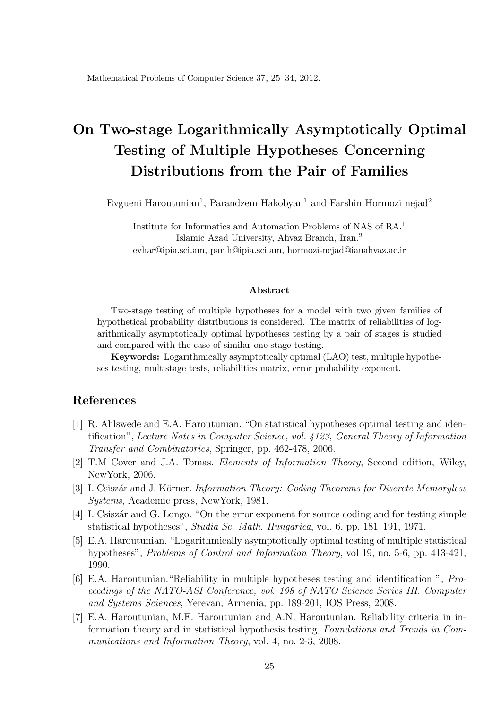Mathematical Problems of Computer Science 37, 25-34, 2012.

# On Two-stage Logarithmically Asymptotically Optimal Testing of Multiple Hypotheses Concerning Distributions from the Pair of Families

Evgueni Haroutunian<sup>1</sup>, Parandzem Hakobyan<sup>1</sup> and Farshin Hormozi nejad<sup>2</sup>

Institute for Informatics and Automation Problems of NAS of RA. 1 Islamic Azad University, Ahvaz Branch, Iran. 2 evhar@ipia.sci.am, par h@ipia.sci.am, hormozi-nejad@iauahvaz.ac.ir

#### Abstract

Two-stage testing of multiple hypotheses for a model with two given families of hypothetical probability distributions is considered. The matrix of reliabilities of logarithmically asymptotically optimal hypotheses testing by a pair of stages is studied and compared with the case of similar one-stage testing.

Keywords: Logarithmically asymptotically optimal (LAO) test, multiple hypotheses testing, multistage tests, reliabilities matrix, error probability exponent.

### References

- [1] R. Ahlswede and E.A. Haroutunian. "On statistical hypotheses optimal testing and identi¯cation" , *Lecture Notes in Computer Science, vol. 4123, General Theory of Information Transfer and Combinatorics*, Springer, pp. 462-478, 2006.
- [2] T.M Cover and J.A. Tomas. *Elements of Information Theory*, Second edition, Wiley, NewYork, 2006.
- [3] I. Csisz¶ar and J. KÄorner. *Information Theory: Coding Theorems for Discrete Memoryless Systems*, Academic press, NewYork, 1981.
- [4] I. Csiszár and G. Longo. "On the error exponent for source coding and for testing simple statistical hypotheses", *Studia Sc. Math. Hungarica*, vol. 6, pp. 181–191, 1971.
- [5] E.A. Haroutunian. "Logarithmically asymptotically optimal testing of multiple statistical hypotheses", *Problems of Control and Information Theory*, vol 19, no. 5-6, pp. 413-421, 1990.
- [6] E.A. Haroutunian. "Reliability in multiple hypotheses testing and identification ", *Proceedings of the NATO-ASI Conference, vol. 198 of NATO Science Series III: Computer and Systems Sciences*, Yerevan, Armenia, pp. 189-201, IOS Press, 2008.
- [7] E.A. Haroutunian, M.E. Haroutunian and A.N. Haroutunian. Reliability criteria in information theory and in statistical hypothesis testing, *Foundations and Trends in Communications and Information Theory*, vol. 4, no. 2-3, 2008.